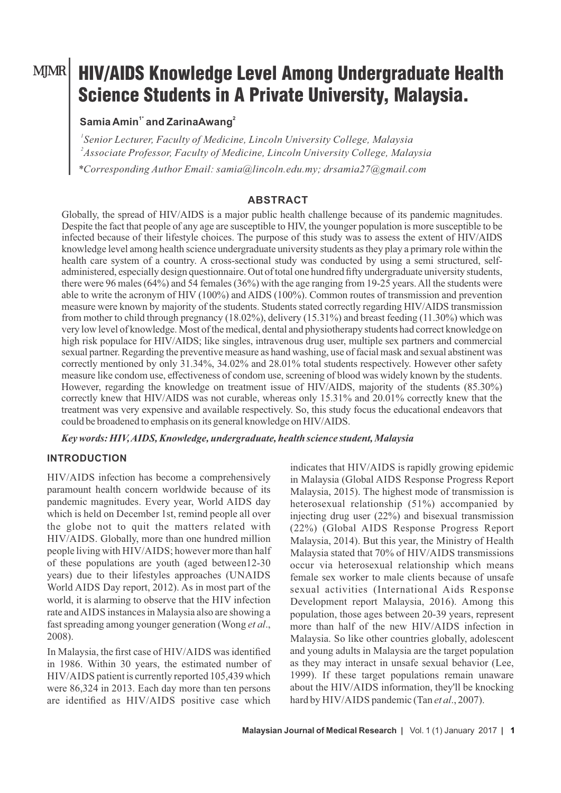### MJMR

# HIV/AIDS Knowledge Level Among Undergraduate Health Science Students in A Private University, Malaysia.

## **1\* <sup>2</sup> Samia Amin and ZarinaAwang**

*1 Senior Lecturer, Faculty of Medicine, Lincoln University College, Malaysia 2 Associate Professor, Faculty of Medicine, Lincoln University College, Malaysia \*Corresponding Author Email: samia@lincoln.edu.my; drsamia27@gmail.com*

#### **ABSTRACT**

Globally, the spread of HIV/AIDS is a major public health challenge because of its pandemic magnitudes. Despite the fact that people of any age are susceptible to HIV, the younger population is more susceptible to be infected because of their lifestyle choices. The purpose of this study was to assess the extent of HIV/AIDS knowledge level among health science undergraduate university students as they play a primary role within the health care system of a country. A cross-sectional study was conducted by using a semi structured, selfadministered, especially design questionnaire. Out of total one hundred fifty undergraduate university students, there were 96 males (64%) and 54 females (36%) with the age ranging from 19-25 years. All the students were able to write the acronym of HIV (100%) and AIDS (100%). Common routes of transmission and prevention measure were known by majority of the students. Students stated correctly regarding HIV/AIDS transmission from mother to child through pregnancy (18.02%), delivery (15.31%) and breast feeding (11.30%) which was very low level of knowledge. Most of the medical, dental and physiotherapy students had correct knowledge on high risk populace for HIV/AIDS; like singles, intravenous drug user, multiple sex partners and commercial sexual partner. Regarding the preventive measure as hand washing, use of facial mask and sexual abstinent was correctly mentioned by only 31.34%, 34.02% and 28.01% total students respectively. However other safety measure like condom use, effectiveness of condom use, screening of blood was widely known by the students. However, regarding the knowledge on treatment issue of HIV/AIDS, majority of the students (85.30%) correctly knew that HIV/AIDS was not curable, whereas only 15.31% and 20.01% correctly knew that the treatment was very expensive and available respectively. So, this study focus the educational endeavors that could be broadened to emphasis on its general knowledge on HIV/AIDS.

*Key words: HIV, AIDS, Knowledge, undergraduate, health science student, Malaysia*

#### **INTRODUCTION**

HIV/AIDS infection has become a comprehensively paramount health concern worldwide because of its pandemic magnitudes. Every year, World AIDS day which is held on December 1st, remind people all over the globe not to quit the matters related with HIV/AIDS. Globally, more than one hundred million people living with HIV/AIDS; however more than half of these populations are youth (aged between12-30 years) due to their lifestyles approaches (UNAIDS World AIDS Day report, 2012). As in most part of the world, it is alarming to observe that the HIV infection rate and AIDS instances in Malaysia also are showing a fast spreading among younger generation (Wong *et al*., 2008).

In Malaysia, the first case of HIV/AIDS was identified in 1986. Within 30 years, the estimated number of HIV/AIDS patient is currently reported 105,439 which were 86,324 in 2013. Each day more than ten persons are identified as HIV/AIDS positive case which

indicates that HIV/AIDS is rapidly growing epidemic in Malaysia (Global AIDS Response Progress Report Malaysia, 2015). The highest mode of transmission is heterosexual relationship (51%) accompanied by injecting drug user (22%) and bisexual transmission (22%) (Global AIDS Response Progress Report Malaysia, 2014). But this year, the Ministry of Health Malaysia stated that 70% of HIV/AIDS transmissions occur via heterosexual relationship which means female sex worker to male clients because of unsafe sexual activities (International Aids Response Development report Malaysia, 2016). Among this population, those ages between 20-39 years, represent more than half of the new HIV/AIDS infection in Malaysia. So like other countries globally, adolescent and young adults in Malaysia are the target population as they may interact in unsafe sexual behavior (Lee, 1999). If these target populations remain unaware about the HIV/AIDS information, they'll be knocking hard by HIV/AIDS pandemic (Tan *et al*., 2007).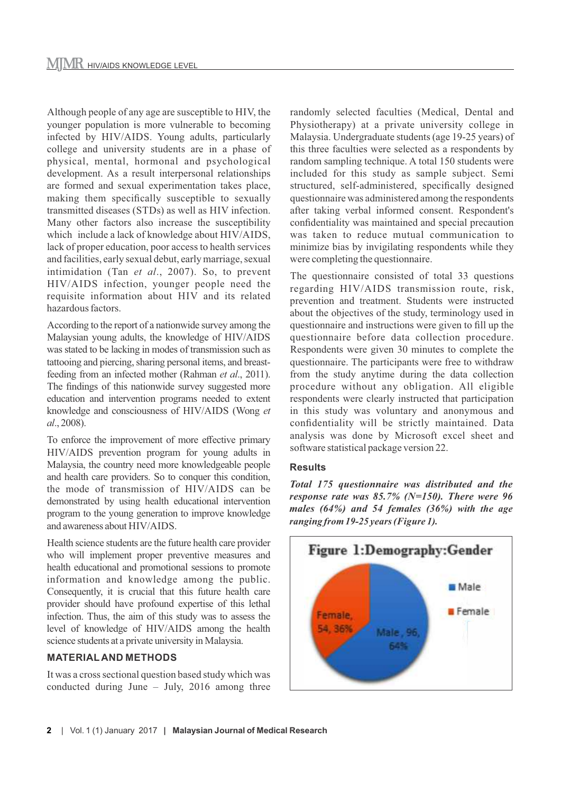Although people of any age are susceptible to HIV, the younger population is more vulnerable to becoming infected by HIV/AIDS. Young adults, particularly college and university students are in a phase of physical, mental, hormonal and psychological development. As a result interpersonal relationships are formed and sexual experimentation takes place, making them specifically susceptible to sexually transmitted diseases (STDs) as well as HIV infection. Many other factors also increase the susceptibility which include a lack of knowledge about HIV/AIDS, lack of proper education, poor access to health services and facilities, early sexual debut, early marriage, sexual intimidation (Tan *et al*., 2007). So, to prevent HIV/AIDS infection, younger people need the requisite information about HIV and its related hazardous factors.

According to the report of a nationwide survey among the Malaysian young adults, the knowledge of HIV/AIDS was stated to be lacking in modes of transmission such as tattooing and piercing, sharing personal items, and breastfeeding from an infected mother (Rahman *et al*., 2011). The findings of this nationwide survey suggested more education and intervention programs needed to extent knowledge and consciousness of HIV/AIDS (Wong *et al*., 2008).

To enforce the improvement of more effective primary HIV/AIDS prevention program for young adults in Malaysia, the country need more knowledgeable people and health care providers. So to conquer this condition, the mode of transmission of HIV/AIDS can be demonstrated by using health educational intervention program to the young generation to improve knowledge and awareness about HIV/AIDS.

Health science students are the future health care provider who will implement proper preventive measures and health educational and promotional sessions to promote information and knowledge among the public. Consequently, it is crucial that this future health care provider should have profound expertise of this lethal infection. Thus, the aim of this study was to assess the level of knowledge of HIV/AIDS among the health science students at a private university in Malaysia.

#### **MATERIAL AND METHODS**

It was a cross sectional question based study which was conducted during June – July, 2016 among three randomly selected faculties (Medical, Dental and Physiotherapy) at a private university college in Malaysia. Undergraduate students (age 19-25 years) of this three faculties were selected as a respondents by random sampling technique. A total 150 students were included for this study as sample subject. Semi structured, self-administered, specifically designed questionnaire was administered among the respondents after taking verbal informed consent. Respondent's confidentiality was maintained and special precaution was taken to reduce mutual communication to minimize bias by invigilating respondents while they were completing the questionnaire.

The questionnaire consisted of total 33 questions regarding HIV/AIDS transmission route, risk, prevention and treatment. Students were instructed about the objectives of the study, terminology used in questionnaire and instructions were given to fill up the questionnaire before data collection procedure. Respondents were given 30 minutes to complete the questionnaire. The participants were free to withdraw from the study anytime during the data collection procedure without any obligation. All eligible respondents were clearly instructed that participation in this study was voluntary and anonymous and confidentiality will be strictly maintained. Data analysis was done by Microsoft excel sheet and software statistical package version 22.

#### **Results**

*Total 175 questionnaire was distributed and the response rate was 85.7% (N=150). There were 96 males (64%) and 54 females (36%) with the age ranging from 19-25 years (Figure 1).*

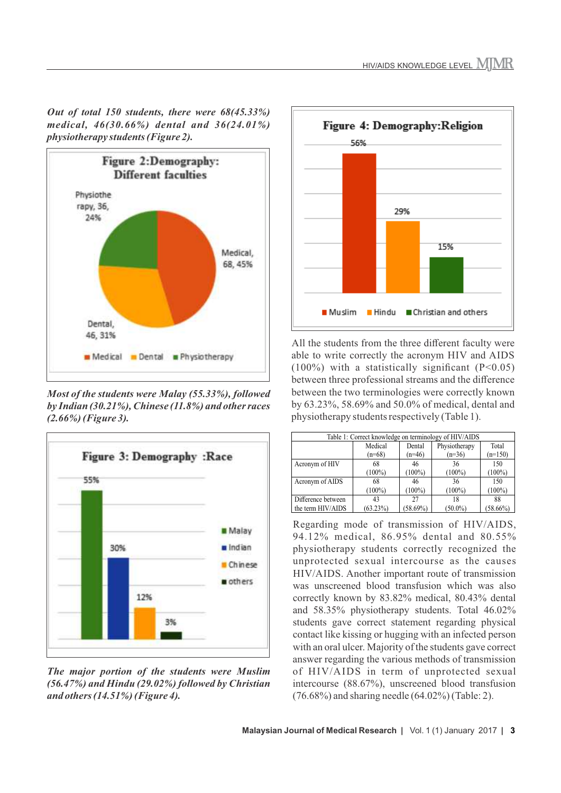*Out of total 150 students, there were 68(45.33%) medical, 46(30.66%) dental and 36(24.01%) physiotherapy students (Figure 2).*



*Most of the students were Malay (55.33%), followed by Indian (30.21%), Chinese (11.8%) and other races (2.66%) (Figure 3).* 



*The major portion of the students were Muslim (56.47%) and Hindu (29.02%) followed by Christian and others (14.51%) (Figure 4).* 



All the students from the three different faculty were able to write correctly the acronym HIV and AIDS  $(100\%)$  with a statistically significant  $(P<0.05)$ between three professional streams and the difference between the two terminologies were correctly known by 63.23%, 58.69% and 50.0% of medical, dental and physiotherapy students respectively (Table 1).

| Table 1: Correct knowledge on terminology of HIV/AIDS |             |             |               |             |  |
|-------------------------------------------------------|-------------|-------------|---------------|-------------|--|
|                                                       | Medical     | Dental      | Physiotherapy | Total       |  |
|                                                       | $(n=68)$    | $(n=46)$    | $(n=36)$      | $(n=150)$   |  |
| Acronym of HIV                                        | 68          | 46          | 36            | 150         |  |
|                                                       | $(100\%)$   | $(100\%)$   | $(100\%)$     | $(100\%)$   |  |
| Acronym of AIDS                                       | 68          | 46          | 36            | 150         |  |
|                                                       | $(100\%)$   | $(100\%)$   | $(100\%)$     | $(100\%)$   |  |
| Difference between                                    | 43          | 27          | 18            | 88          |  |
| the term HIV/AIDS                                     | $(63.23\%)$ | $(58.69\%)$ | $(50.0\%)$    | $(58.66\%)$ |  |

Regarding mode of transmission of HIV/AIDS, 94.12% medical, 86.95% dental and 80.55% physiotherapy students correctly recognized the unprotected sexual intercourse as the causes HIV/AIDS. Another important route of transmission was unscreened blood transfusion which was also correctly known by 83.82% medical, 80.43% dental and 58.35% physiotherapy students. Total 46.02% students gave correct statement regarding physical contact like kissing or hugging with an infected person with an oral ulcer. Majority of the students gave correct answer regarding the various methods of transmission of HIV/AIDS in term of unprotected sexual intercourse (88.67%), unscreened blood transfusion (76.68%) and sharing needle (64.02%) (Table: 2).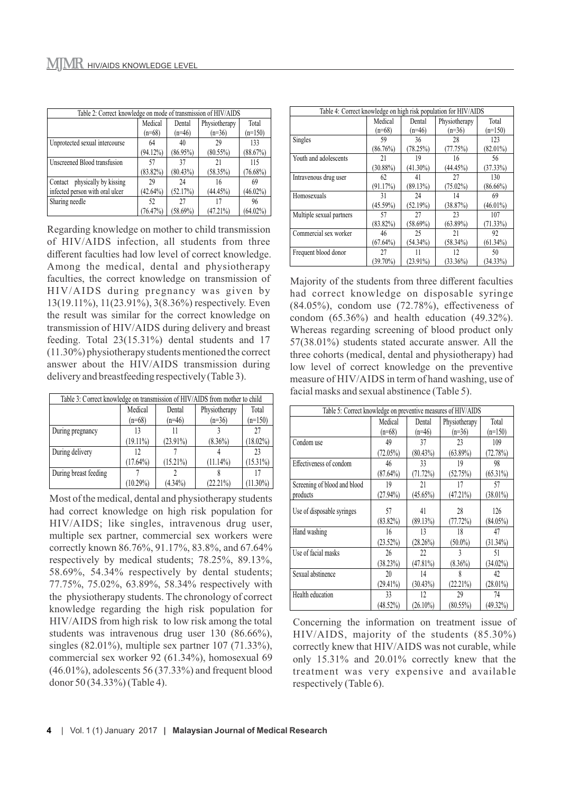| Table 2: Correct knowledge on mode of transmission of HIV/AIDS |             |             |               |             |
|----------------------------------------------------------------|-------------|-------------|---------------|-------------|
|                                                                | Medical     | Dental      | Physiotherapy | Total       |
|                                                                | $(n=68)$    | $(n=46)$    | $(n=36)$      | $(n=150)$   |
| Unprotected sexual intercourse                                 | 64          | 40          | 29            | 133         |
|                                                                | $(94.12\%)$ | $(86.95\%)$ | $(80.55\%)$   | (88.67%)    |
| Unscreened Blood transfusion                                   | 57          | 37          | 21            | 115         |
|                                                                | $(83.82\%)$ | $(80.43\%)$ | $(58.35\%)$   | $(76.68\%)$ |
| physically by kissing<br>Contact                               | 29          | 24          | 16            | 69          |
| infected person with oral ulcer                                | $(42.64\%)$ | (52.17%)    | $(44.45\%)$   | $(46.02\%)$ |
| Sharing needle                                                 | 52          | 27          | 17            | 96          |
|                                                                | (76.47%)    | $(58.69\%)$ | $(47.21\%)$   | $(64.02\%)$ |

Regarding knowledge on mother to child transmission of HIV/AIDS infection, all students from three different faculties had low level of correct knowledge. Among the medical, dental and physiotherapy faculties, the correct knowledge on transmission of HIV/AIDS during pregnancy was given by 13(19.11%), 11(23.91%), 3(8.36%) respectively. Even the result was similar for the correct knowledge on transmission of HIV/AIDS during delivery and breast feeding. Total 23(15.31%) dental students and 17 (11.30%) physiotherapy students mentioned the correct answer about the HIV/AIDS transmission during delivery and breastfeeding respectively (Table 3).

| Table 3: Correct knowledge on transmission of HIV/AIDS from mother to child |             |             |               |             |  |
|-----------------------------------------------------------------------------|-------------|-------------|---------------|-------------|--|
|                                                                             | Medical     | Dental      | Physiotherapy | Total       |  |
|                                                                             | $(n=68)$    | $(n=46)$    | $(n=36)$      | $(n=150)$   |  |
| During pregnancy                                                            | 13          |             |               | 27          |  |
|                                                                             | $(19.11\%)$ | $(23.91\%)$ | $(8.36\%)$    | $(18.02\%)$ |  |
| During delivery                                                             | 12          |             |               | 23          |  |
|                                                                             | $(17.64\%)$ | $(15.21\%)$ | $(11.14\%)$   | $(15.31\%)$ |  |
| During breast feeding                                                       |             |             |               |             |  |
|                                                                             | $(10.29\%)$ | $(4.34\%)$  | $(22.21\%)$   | $(11.30\%)$ |  |

Most of the medical, dental and physiotherapy students had correct knowledge on high risk population for HIV/AIDS; like singles, intravenous drug user, multiple sex partner, commercial sex workers were correctly known 86.76%, 91.17%, 83.8%, and 67.64% respectively by medical students; 78.25%, 89.13%, 58.69%, 54.34% respectively by dental students; 77.75%, 75.02%, 63.89%, 58.34% respectively with the physiotherapy students. The chronology of correct knowledge regarding the high risk population for HIV/AIDS from high risk to low risk among the total students was intravenous drug user 130 (86.66%), singles (82.01%), multiple sex partner 107 (71.33%), commercial sex worker 92 (61.34%), homosexual 69 (46.01%), adolescents 56 (37.33%) and frequent blood donor 50 (34.33%) (Table 4).

| Table 4: Correct knowledge on high risk population for HIV/AIDS |             |             |               |             |  |
|-----------------------------------------------------------------|-------------|-------------|---------------|-------------|--|
|                                                                 | Medical     | Dental      | Physiotherapy | Total       |  |
|                                                                 | $(n=68)$    | $(n=46)$    | $(n=36)$      | $(n=150)$   |  |
| Singles                                                         | 59          | 36          | 28            | 123         |  |
|                                                                 | (86.76%)    | (78.25%)    | (77.75%)      | $(82.01\%)$ |  |
| Youth and adolescents                                           | 21          | 19          | 16            | 56          |  |
|                                                                 | $(30.88\%)$ | $(41.30\%)$ | (44.45%)      | (37.33%)    |  |
| Intravenous drug user                                           | 62          | 41          | 27            | 130         |  |
|                                                                 | (91.17%)    | (89.13%)    | $(75.02\%)$   | $(86.66\%)$ |  |
| Homosexuals                                                     | 31          | 24          | 14            | 69          |  |
|                                                                 | $(45.59\%)$ | (52.19%)    | (38.87%)      | $(46.01\%)$ |  |
| Multiple sexual partners                                        | 57          | 27          | 23            | 107         |  |
|                                                                 | $(83.82\%)$ | $(58.69\%)$ | $(63.89\%)$   | $(71.33\%)$ |  |
| Commercial sex worker                                           | 46          | 25          | 21            | 92          |  |
|                                                                 | $(67.64\%)$ | $(54.34\%)$ | $(58.34\%)$   | $(61.34\%)$ |  |
| Frequent blood donor                                            | 27          | 11          | 12            | 50          |  |
|                                                                 | $(39.70\%)$ | $(23.91\%)$ | $(33.36\%)$   | $(34.33\%)$ |  |

Majority of the students from three different faculties had correct knowledge on disposable syringe  $(84.05\%)$ , condom use  $(72.78\%)$ , effectiveness of condom (65.36%) and health education (49.32%). Whereas regarding screening of blood product only 57(38.01%) students stated accurate answer. All the three cohorts (medical, dental and physiotherapy) had low level of correct knowledge on the preventive measure of HIV/AIDS in term of hand washing, use of facial masks and sexual abstinence (Table 5).

| Table 5: Correct knowledge on preventive measures of HIV/AIDS |             |             |               |             |
|---------------------------------------------------------------|-------------|-------------|---------------|-------------|
|                                                               | Medical     | Dental      | Physiotherapy | Total       |
|                                                               | $(n=68)$    | $(n=46)$    | $(n=36)$      | $(n=150)$   |
| Condom use                                                    | 49          | 37          | 23            | 109         |
|                                                               | $(72.05\%)$ | $(80.43\%)$ | $(63.89\%)$   | (72.78%)    |
| Effectiveness of condom                                       | 46          | 33          | 19            | 98          |
|                                                               | $(87.64\%)$ | (71.72%)    | (52.75%)      | $(65.31\%)$ |
| Screening of blood and blood                                  | 19          | 21          | 17            | 57          |
| products                                                      | $(27.94\%)$ | $(45.65\%)$ | (47.21%)      | $(38.01\%)$ |
| Use of disposable syringes                                    | 57          | 41          | 28            | 126         |
|                                                               | $(83.82\%)$ | (89.13%)    | (77.72%)      | $(84.05\%)$ |
| Hand washing                                                  | 16          | 13          | 18            | 47          |
|                                                               | $(23.52\%)$ | (28.26%)    | $(50.0\%)$    | $(31.34\%)$ |
| Use of facial masks                                           | 26          | 22          | 3             | 51          |
|                                                               | (38.23%)    | (47.81%)    | $(8.36\%)$    | $(34.02\%)$ |
| Sexual abstinence                                             | 20          | 14          | 8             | 42          |
|                                                               | $(29.41\%)$ | $(30.43\%)$ | $(22.21\%)$   | $(28.01\%)$ |
| Health education                                              | 33          | 12          | 29            | 74          |
|                                                               | $(48.52\%)$ | $(26.10\%)$ | $(80.55\%)$   | $(49.32\%)$ |

Concerning the information on treatment issue of HIV/AIDS, majority of the students (85.30%) correctly knew that HIV/AIDS was not curable, while only 15.31% and 20.01% correctly knew that the treatment was very expensive and available respectively (Table 6).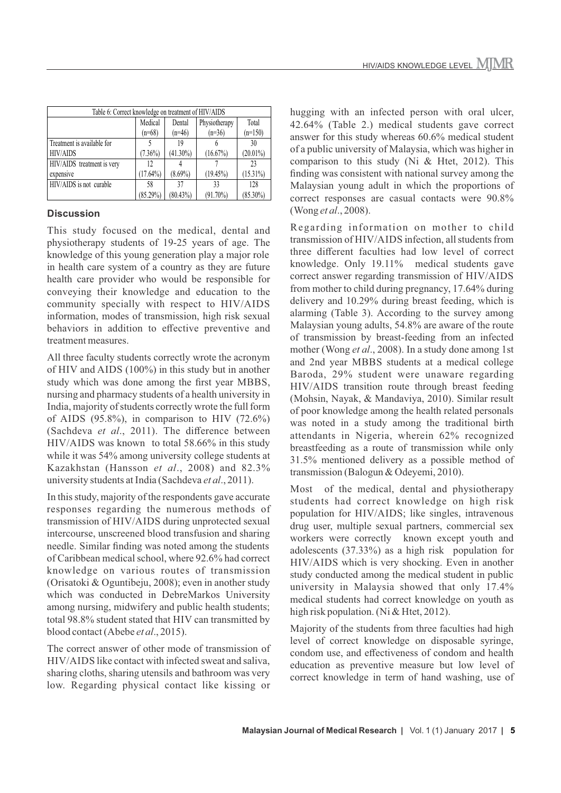| Table 6: Correct knowledge on treatment of HIV/AIDS |             |             |               |             |
|-----------------------------------------------------|-------------|-------------|---------------|-------------|
|                                                     | Medical     | Dental      | Physiotherapy | Total       |
|                                                     | $(n=68)$    | $(n=46)$    | $(n=36)$      | $(n=150)$   |
| Treatment is available for                          |             | 19          |               | 30          |
| <b>HIV/AIDS</b>                                     | $(7.36\%)$  | $(41.30\%)$ | $(16.67\%)$   | $(20.01\%)$ |
| HIV/AIDS treatment is very                          | 12          |             |               | 23          |
| expensive                                           | $(17.64\%)$ | $(8.69\%)$  | $(19.45\%)$   | $(15.31\%)$ |
| HIV/AIDS is not curable                             | 58          | 37          | 33            | 128         |
|                                                     | $(85.29\%)$ | $(80.43\%)$ | $(91.70\%)$   | $(85.30\%)$ |

#### **Discussion**

This study focused on the medical, dental and physiotherapy students of 19-25 years of age. The knowledge of this young generation play a major role in health care system of a country as they are future health care provider who would be responsible for conveying their knowledge and education to the community specially with respect to HIV/AIDS information, modes of transmission, high risk sexual behaviors in addition to effective preventive and treatment measures.

All three faculty students correctly wrote the acronym of HIV and AIDS (100%) in this study but in another study which was done among the first year MBBS, nursing and pharmacy students of a health university in India, majority of students correctly wrote the full form of AIDS (95.8%), in comparison to HIV (72.6%) (Sachdeva *et al*., 2011). The difference between HIV/AIDS was known to total 58.66% in this study while it was 54% among university college students at Kazakhstan (Hansson *et al*., 2008) and 82.3% university students at India (Sachdeva *et al*., 2011).

In this study, majority of the respondents gave accurate responses regarding the numerous methods of transmission of HIV/AIDS during unprotected sexual intercourse, unscreened blood transfusion and sharing needle. Similar finding was noted among the students of Caribbean medical school, where 92.6% had correct knowledge on various routes of transmission (Orisatoki & Oguntibeju, 2008); even in another study which was conducted in DebreMarkos University among nursing, midwifery and public health students; total 98.8% student stated that HIV can transmitted by blood contact (Abebe *et al*., 2015).

The correct answer of other mode of transmission of HIV/AIDS like contact with infected sweat and saliva, sharing cloths, sharing utensils and bathroom was very low. Regarding physical contact like kissing or hugging with an infected person with oral ulcer, 42.64% (Table 2.) medical students gave correct answer for this study whereas 60.6% medical student of a public university of Malaysia, which was higher in comparison to this study (Ni & Htet, 2012). This finding was consistent with national survey among the Malaysian young adult in which the proportions of correct responses are casual contacts were 90.8% (Wong *et al*., 2008).

Regarding information on mother to child transmission of HIV/AIDS infection, all students from three different faculties had low level of correct knowledge. Only 19.11% medical students gave correct answer regarding transmission of HIV/AIDS from mother to child during pregnancy, 17.64% during delivery and 10.29% during breast feeding, which is alarming (Table 3). According to the survey among Malaysian young adults, 54.8% are aware of the route of transmission by breast-feeding from an infected mother (Wong *et al*., 2008). In a study done among 1st and 2nd year MBBS students at a medical college Baroda, 29% student were unaware regarding HIV/AIDS transition route through breast feeding (Mohsin, Nayak, & Mandaviya, 2010). Similar result of poor knowledge among the health related personals was noted in a study among the traditional birth attendants in Nigeria, wherein 62% recognized breastfeeding as a route of transmission while only 31.5% mentioned delivery as a possible method of transmission (Balogun & Odeyemi, 2010).

Most of the medical, dental and physiotherapy students had correct knowledge on high risk population for HIV/AIDS; like singles, intravenous drug user, multiple sexual partners, commercial sex workers were correctly known except youth and adolescents (37.33%) as a high risk population for HIV/AIDS which is very shocking. Even in another study conducted among the medical student in public university in Malaysia showed that only 17.4% medical students had correct knowledge on youth as high risk population. (Ni & Htet, 2012).

Majority of the students from three faculties had high level of correct knowledge on disposable syringe, condom use, and effectiveness of condom and health education as preventive measure but low level of correct knowledge in term of hand washing, use of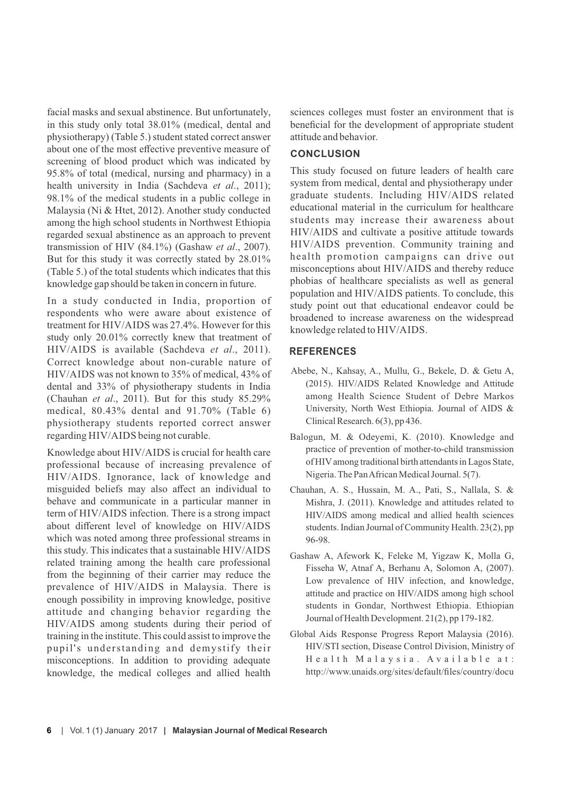facial masks and sexual abstinence. But unfortunately, in this study only total 38.01% (medical, dental and physiotherapy) (Table 5.) student stated correct answer about one of the most effective preventive measure of screening of blood product which was indicated by 95.8% of total (medical, nursing and pharmacy) in a health university in India (Sachdeva *et al*., 2011); 98.1% of the medical students in a public college in Malaysia (Ni & Htet, 2012). Another study conducted among the high school students in Northwest Ethiopia regarded sexual abstinence as an approach to prevent transmission of HIV (84.1%) (Gashaw *et al*., 2007). But for this study it was correctly stated by 28.01% (Table 5.) of the total students which indicates that this knowledge gap should be taken in concern in future.

In a study conducted in India, proportion of respondents who were aware about existence of treatment for HIV/AIDS was 27.4%. However for this study only 20.01% correctly knew that treatment of HIV/AIDS is available (Sachdeva *et al*., 2011). Correct knowledge about non-curable nature of HIV/AIDS was not known to 35% of medical, 43% of dental and 33% of physiotherapy students in India (Chauhan *et al*., 2011). But for this study 85.29% medical, 80.43% dental and 91.70% (Table 6) physiotherapy students reported correct answer regarding HIV/AIDS being not curable.

Knowledge about HIV/AIDS is crucial for health care professional because of increasing prevalence of HIV/AIDS. Ignorance, lack of knowledge and misguided beliefs may also affect an individual to behave and communicate in a particular manner in term of HIV/AIDS infection. There is a strong impact about different level of knowledge on HIV/AIDS which was noted among three professional streams in this study. This indicates that a sustainable HIV/AIDS related training among the health care professional from the beginning of their carrier may reduce the prevalence of HIV/AIDS in Malaysia. There is enough possibility in improving knowledge, positive attitude and changing behavior regarding the HIV/AIDS among students during their period of training in the institute. This could assist to improve the pupil's understanding and demystify their misconceptions. In addition to providing adequate knowledge, the medical colleges and allied health

sciences colleges must foster an environment that is beneficial for the development of appropriate student attitude and behavior.

#### **CONCLUSION**

This study focused on future leaders of health care system from medical, dental and physiotherapy under graduate students. Including HIV/AIDS related educational material in the curriculum for healthcare students may increase their awareness about HIV/AIDS and cultivate a positive attitude towards HIV/AIDS prevention. Community training and health promotion campaigns can drive out misconceptions about HIV/AIDS and thereby reduce phobias of healthcare specialists as well as general population and HIV/AIDS patients. To conclude, this study point out that educational endeavor could be broadened to increase awareness on the widespread knowledge related to HIV/AIDS.

#### **REFERENCES**

- Abebe, N., Kahsay, A., Mullu, G., Bekele, D. & Getu A, (2015). HIV/AIDS Related Knowledge and Attitude among Health Science Student of Debre Markos University, North West Ethiopia. Journal of AIDS & Clinical Research. 6(3), pp 436.
- Balogun, M. & Odeyemi, K. (2010). Knowledge and practice of prevention of mother-to-child transmission of HIVamong traditional birth attendants in Lagos State, Nigeria. The Pan African Medical Journal. 5(7).
- Chauhan, A. S., Hussain, M. A., Pati, S., Nallala, S. & Mishra, J. (2011). Knowledge and attitudes related to HIV/AIDS among medical and allied health sciences students. Indian Journal of Community Health. 23(2), pp 96-98.
- Gashaw A, Afework K, Feleke M, Yigzaw K, Molla G, Fisseha W, Atnaf A, Berhanu A, Solomon A, (2007). Low prevalence of HIV infection, and knowledge, attitude and practice on HIV/AIDS among high school students in Gondar, Northwest Ethiopia. Ethiopian Journal of Health Development. 21(2), pp 179-182.
- Global Aids Response Progress Report Malaysia (2016). HIV/STI section, Disease Control Division, Ministry of Health Malaysia. Available at: http://www.unaids.org/sites/default/files/country/docu